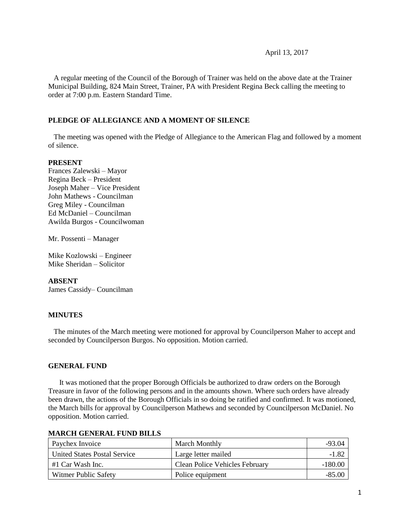#### April 13, 2017

 A regular meeting of the Council of the Borough of Trainer was held on the above date at the Trainer Municipal Building, 824 Main Street, Trainer, PA with President Regina Beck calling the meeting to order at 7:00 p.m. Eastern Standard Time.

### **PLEDGE OF ALLEGIANCE AND A MOMENT OF SILENCE**

 The meeting was opened with the Pledge of Allegiance to the American Flag and followed by a moment of silence.

### **PRESENT**

Frances Zalewski – Mayor Regina Beck – President Joseph Maher – Vice President John Mathews - Councilman Greg Miley - Councilman Ed McDaniel – Councilman Awilda Burgos - Councilwoman

Mr. Possenti – Manager

Mike Kozlowski – Engineer Mike Sheridan – Solicitor

### **ABSENT**

James Cassidy– Councilman

### **MINUTES**

The minutes of the March meeting were motioned for approval by Councilperson Maher to accept and seconded by Councilperson Burgos. No opposition. Motion carried.

### **GENERAL FUND**

 It was motioned that the proper Borough Officials be authorized to draw orders on the Borough Treasure in favor of the following persons and in the amounts shown. Where such orders have already been drawn, the actions of the Borough Officials in so doing be ratified and confirmed. It was motioned, the March bills for approval by Councilperson Mathews and seconded by Councilperson McDaniel. No opposition. Motion carried.

| Paychex Invoice              | March Monthly                  | -93.04    |
|------------------------------|--------------------------------|-----------|
| United States Postal Service | Large letter mailed            | -1.82     |
| #1 Car Wash Inc.             | Clean Police Vehicles February | $-180.00$ |
| Witmer Public Safety         | Police equipment               | -85.00    |

#### **MARCH GENERAL FUND BILLS**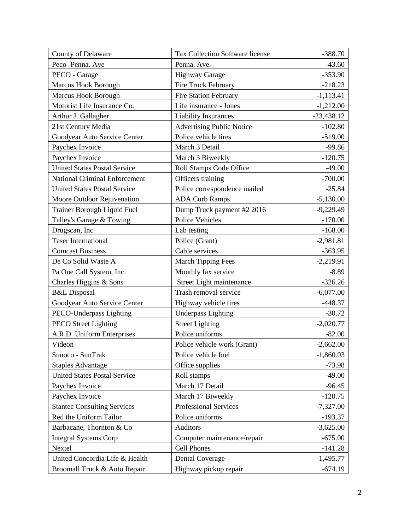| County of Delaware                   | <b>Tax Collection Software license</b> | $-388.70$    |
|--------------------------------------|----------------------------------------|--------------|
| Peco-Penna. Ave                      | Penna. Ave.                            | $-43.60$     |
| PECO - Garage                        | <b>Highway Garage</b>                  | $-353.90$    |
| Marcus Hook Borough                  | Fire Truck February                    | $-218.23$    |
| Marcus Hook Borough                  | <b>Fire Station February</b>           | $-1,113.41$  |
| Motorist Life Insurance Co.          | Life insurance - Jones                 | $-1,212.00$  |
| Arthur J. Gallagher                  | <b>Liability Insurances</b>            | $-23,438.12$ |
| 21st Century Media                   | <b>Advertising Public Notice</b>       | $-102.80$    |
| Goodyear Auto Service Center         | Police vehicle tires                   | $-519.00$    |
| Paychex Invoice                      | March 3 Detail                         | $-99.86$     |
| Paychex Invoice                      | March 3 Biweekly                       | $-120.75$    |
| <b>United States Postal Service</b>  | Roll Stamps Code Office                | $-49.00$     |
| <b>National Criminal Enforcement</b> | Officers training                      | $-700.00$    |
| <b>United States Postal Service</b>  | Police correspondence mailed           | $-25.84$     |
| Moore Outdoor Rejuvenation           | <b>ADA Curb Ramps</b>                  | $-5,130.00$  |
| Trainer Borough Liquid Fuel          | Dump Truck payment #2 2016             | $-9,229.49$  |
| Talley's Garage & Towing             | Police Vehicles                        | $-170.00$    |
| Drugscan, Inc                        | Lab testing                            | $-168.00$    |
| <b>Taser International</b>           | Police (Grant)                         | $-2,981.81$  |
| <b>Comcast Business</b>              | Cable services                         | $-363.95$    |
| De Co Solid Waste A                  | <b>March Tipping Fees</b>              | $-2,219.91$  |
| Pa One Call System, Inc.             | Monthly fax service                    | $-8.89$      |
| Charles Higgins & Sons               | Street Light maintenance               | $-326.26$    |
| <b>B&amp;L</b> Disposal              | Trash removal service                  | $-6,077.00$  |
| Goodyear Auto Service Center         | Highway vehicle tires                  | $-448.37$    |
| PECO-Underpass Lighting              | <b>Underpass Lighting</b>              | $-30.72$     |
| <b>PECO</b> Street Lighting          | <b>Street Lighting</b>                 | $-2,020.77$  |
| A.R.D. Uniform Enterprises           | Police uniforms                        | $-82.00$     |
| Videon                               | Police vehicle work (Grant)            | $-2,662.00$  |
| Sunoco - SunTrak                     | Police vehicle fuel                    | $-1,860.03$  |
| <b>Staples Advantage</b>             | Office supplies                        | $-73.98$     |
| <b>United States Postal Service</b>  | Roll stamps                            | $-49.00$     |
| Paychex Invoice                      | March 17 Detail                        | $-96.45$     |
| Paychex Invoice                      | March 17 Biweekly                      | $-120.75$    |
| <b>Stantec Consulting Services</b>   | Professional Services                  | $-7,327.00$  |
| Red the Uniform Tailor               | Police uniforms                        | $-193.37$    |
| Barbacane, Thornton & Co             | Auditors                               | $-3,625.00$  |
| <b>Integral Systems Corp</b>         | Computer maintenance/repair            | $-675.00$    |
| Nextel                               | Cell Phones                            | $-141.28$    |
| United Concordia Life & Health       | <b>Dental Coverage</b>                 | $-1,495.77$  |
| Broomall Truck & Auto Repair         | Highway pickup repair                  | $-674.19$    |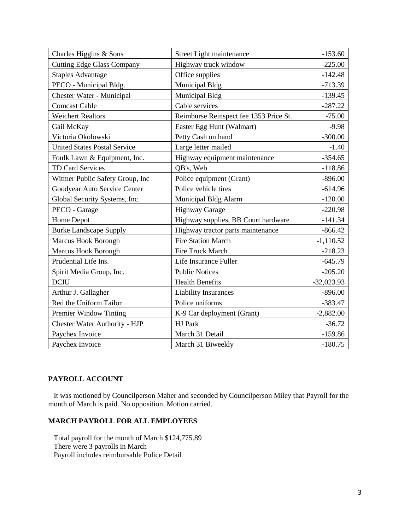| Charles Higgins & Sons              | Street Light maintenance               | $-153.60$    |
|-------------------------------------|----------------------------------------|--------------|
| <b>Cutting Edge Glass Company</b>   | Highway truck window                   | $-225.00$    |
| <b>Staples Advantage</b>            | Office supplies                        | $-142.48$    |
| PECO - Municipal Bldg.              | Municipal Bldg                         | $-713.39$    |
| Chester Water - Municipal           | Municipal Bldg                         | $-139.45$    |
| <b>Comcast Cable</b>                | Cable services                         | $-287.22$    |
| <b>Weichert Realtors</b>            | Reimburse Reinspect fee 1353 Price St. | $-75.00$     |
| Gail McKay                          | Easter Egg Hunt (Walmart)              | $-9.98$      |
| Victoria Okolowski                  | Petty Cash on hand                     | $-300.00$    |
| <b>United States Postal Service</b> | Large letter mailed                    | $-1.40$      |
| Foulk Lawn & Equipment, Inc.        | Highway equipment maintenance          | $-354.65$    |
| <b>TD Card Services</b>             | QB's, Web                              | $-118.86$    |
| Witmer Public Safety Group, Inc     | Police equipment (Grant)               | $-896.00$    |
| Goodyear Auto Service Center        | Police vehicle tires                   | $-614.96$    |
| Global Security Systems, Inc.       | Municipal Bldg Alarm                   | $-120.00$    |
| PECO - Garage                       | <b>Highway Garage</b>                  | $-220.98$    |
| Home Depot                          | Highway supplies, BB Court hardware    | $-141.34$    |
| <b>Burke Landscape Supply</b>       | Highway tractor parts maintenance      | $-866.42$    |
| Marcus Hook Borough                 | <b>Fire Station March</b>              | $-1,110.52$  |
| Marcus Hook Borough                 | Fire Truck March                       | $-218.23$    |
| Prudential Life Ins.                | Life Insurance Fuller                  | $-645.79$    |
| Spirit Media Group, Inc.            | <b>Public Notices</b>                  | $-205.20$    |
| <b>DCIU</b>                         | <b>Health Benefits</b>                 | $-32,023.93$ |
| Arthur J. Gallagher                 | <b>Liability Insurances</b>            | $-896.00$    |
| Red the Uniform Tailor              | Police uniforms                        | $-383.47$    |
| Premier Window Tinting              | K-9 Car deployment (Grant)             | $-2,882.00$  |
| Chester Water Authority - HJP       | HJ Park                                | $-36.72$     |
| Paychex Invoice                     | March 31 Detail                        | $-159.86$    |
| Paychex Invoice                     | March 31 Biweekly                      | $-180.75$    |

## **PAYROLL ACCOUNT**

 It was motioned by Councilperson Maher and seconded by Councilperson Miley that Payroll for the month of March is paid. No opposition. Motion carried.

## **MARCH PAYROLL FOR ALL EMPLOYEES**

 Total payroll for the month of March \$124,775.89 There were 3 payrolls in March Payroll includes reimbursable Police Detail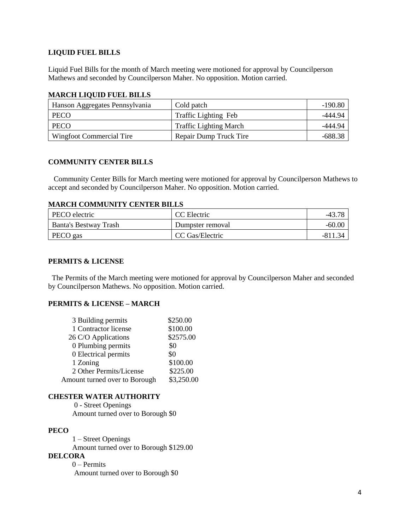### **LIQUID FUEL BILLS**

Liquid Fuel Bills for the month of March meeting were motioned for approval by Councilperson Mathews and seconded by Councilperson Maher. No opposition. Motion carried.

### **MARCH LIQUID FUEL BILLS**

| Hanson Aggregates Pennsylvania | Cold patch                    | $-190.80$ |
|--------------------------------|-------------------------------|-----------|
| <b>PECO</b>                    | <b>Traffic Lighting Feb</b>   | -444.94   |
| <b>PECO</b>                    | <b>Traffic Lighting March</b> | -444.94   |
| Wingfoot Commercial Tire       | Repair Dump Truck Tire        | -688.38   |

## **COMMUNITY CENTER BILLS**

 Community Center Bills for March meeting were motioned for approval by Councilperson Mathews to accept and seconded by Councilperson Maher. No opposition. Motion carried.

### **MARCH COMMUNITY CENTER BILLS**

| PECO electric         | CC Electric      | $-43.$   |
|-----------------------|------------------|----------|
| Banta's Bestway Trash | Dumpster removal | $-60.00$ |
| PECO gas              | CC Gas/Electric  |          |

### **PERMITS & LICENSE**

The Permits of the March meeting were motioned for approval by Councilperson Maher and seconded by Councilperson Mathews. No opposition. Motion carried.

### **PERMITS & LICENSE – MARCH**

| 3 Building permits            | \$250.00   |
|-------------------------------|------------|
| 1 Contractor license          | \$100.00   |
| 26 C/O Applications           | \$2575.00  |
| 0 Plumbing permits            | \$0        |
| 0 Electrical permits          | \$0        |
| 1 Zoning                      | \$100.00   |
| 2 Other Permits/License       | \$225.00   |
| Amount turned over to Borough | \$3,250.00 |

### **CHESTER WATER AUTHORITY**

0 - Street Openings Amount turned over to Borough \$0

## **PECO**

 1 – Street Openings Amount turned over to Borough \$129.00 **DELCORA**

0 – Permits

Amount turned over to Borough \$0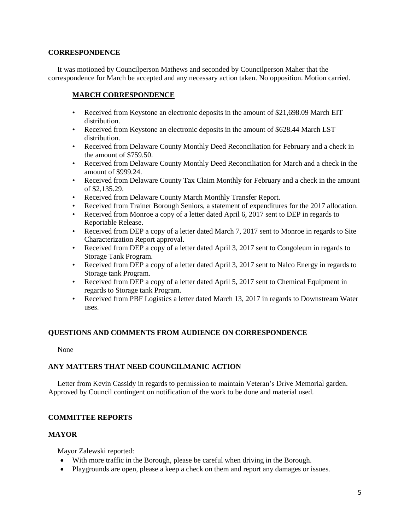#### **CORRESPONDENCE**

 It was motioned by Councilperson Mathews and seconded by Councilperson Maher that the correspondence for March be accepted and any necessary action taken. No opposition. Motion carried.

### **MARCH CORRESPONDENCE**

- Received from Keystone an electronic deposits in the amount of \$21,698.09 March EIT distribution.
- Received from Keystone an electronic deposits in the amount of \$628.44 March LST distribution.
- Received from Delaware County Monthly Deed Reconciliation for February and a check in the amount of \$759.50.
- Received from Delaware County Monthly Deed Reconciliation for March and a check in the amount of \$999.24.
- Received from Delaware County Tax Claim Monthly for February and a check in the amount of \$2,135.29.
- Received from Delaware County March Monthly Transfer Report.
- Received from Trainer Borough Seniors, a statement of expenditures for the 2017 allocation.
- Received from Monroe a copy of a letter dated April 6, 2017 sent to DEP in regards to Reportable Release.
- Received from DEP a copy of a letter dated March 7, 2017 sent to Monroe in regards to Site Characterization Report approval.
- Received from DEP a copy of a letter dated April 3, 2017 sent to Congoleum in regards to Storage Tank Program.
- Received from DEP a copy of a letter dated April 3, 2017 sent to Nalco Energy in regards to Storage tank Program.
- Received from DEP a copy of a letter dated April 5, 2017 sent to Chemical Equipment in regards to Storage tank Program.
- Received from PBF Logistics a letter dated March 13, 2017 in regards to Downstream Water uses.

### **QUESTIONS AND COMMENTS FROM AUDIENCE ON CORRESPONDENCE**

None

## **ANY MATTERS THAT NEED COUNCILMANIC ACTION**

 Letter from Kevin Cassidy in regards to permission to maintain Veteran's Drive Memorial garden. Approved by Council contingent on notification of the work to be done and material used.

## **COMMITTEE REPORTS**

### **MAYOR**

Mayor Zalewski reported:

- With more traffic in the Borough, please be careful when driving in the Borough.
- Playgrounds are open, please a keep a check on them and report any damages or issues.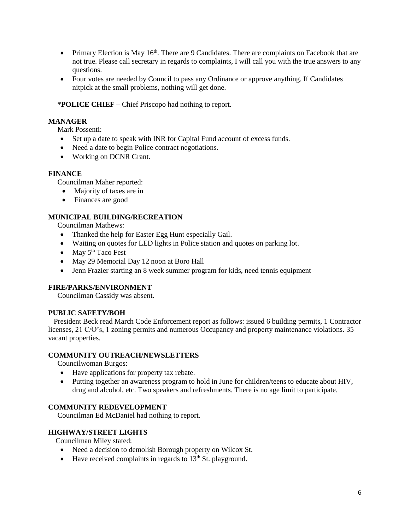- Primary Election is May  $16<sup>th</sup>$ . There are 9 Candidates. There are complaints on Facebook that are not true. Please call secretary in regards to complaints, I will call you with the true answers to any questions.
- Four votes are needed by Council to pass any Ordinance or approve anything. If Candidates nitpick at the small problems, nothing will get done.

## **\*POLICE CHIEF –** Chief Priscopo had nothing to report.

### **MANAGER**

Mark Possenti:

- Set up a date to speak with INR for Capital Fund account of excess funds.
- Need a date to begin Police contract negotiations.
- Working on DCNR Grant.

### **FINANCE**

Councilman Maher reported:

- Majority of taxes are in
- Finances are good

## **MUNICIPAL BUILDING/RECREATION**

Councilman Mathews:

- Thanked the help for Easter Egg Hunt especially Gail.
- Waiting on quotes for LED lights in Police station and quotes on parking lot.
- $\bullet$  May  $5<sup>th</sup>$  Taco Fest
- May 29 Memorial Day 12 noon at Boro Hall
- Jenn Frazier starting an 8 week summer program for kids, need tennis equipment

### **FIRE/PARKS/ENVIRONMENT**

Councilman Cassidy was absent.

### **PUBLIC SAFETY/BOH**

 President Beck read March Code Enforcement report as follows: issued 6 building permits, 1 Contractor licenses, 21 C/O's, 1 zoning permits and numerous Occupancy and property maintenance violations. 35 vacant properties.

### **COMMUNITY OUTREACH/NEWSLETTERS**

Councilwoman Burgos:

- Have applications for property tax rebate.
- Putting together an awareness program to hold in June for children/teens to educate about HIV, drug and alcohol, etc. Two speakers and refreshments. There is no age limit to participate.

### **COMMUNITY REDEVELOPMENT**

Councilman Ed McDaniel had nothing to report.

### **HIGHWAY/STREET LIGHTS**

Councilman Miley stated:

- Need a decision to demolish Borough property on Wilcox St.
- $\bullet$  Have received complaints in regards to 13<sup>th</sup> St. playground.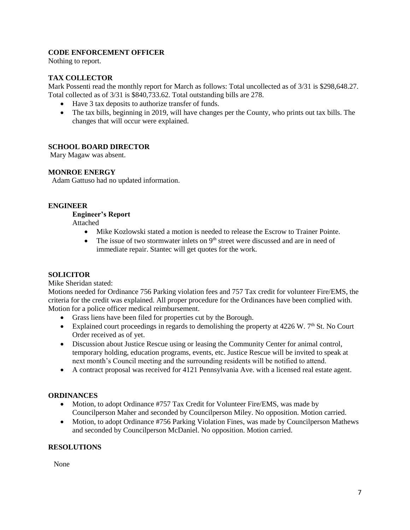## **CODE ENFORCEMENT OFFICER**

Nothing to report.

### **TAX COLLECTOR**

Mark Possenti read the monthly report for March as follows: Total uncollected as of 3/31 is \$298,648.27. Total collected as of 3/31 is \$840,733.62. Total outstanding bills are 278.

- Have 3 tax deposits to authorize transfer of funds.
- The tax bills, beginning in 2019, will have changes per the County, who prints out tax bills. The changes that will occur were explained.

### **SCHOOL BOARD DIRECTOR**

Mary Magaw was absent.

### **MONROE ENERGY**

Adam Gattuso had no updated information.

### **ENGINEER**

### **Engineer's Report**

Attached

- Mike Kozlowski stated a motion is needed to release the Escrow to Trainer Pointe.
- The issue of two stormwater inlets on  $9<sup>th</sup>$  street were discussed and are in need of immediate repair. Stantec will get quotes for the work.

## **SOLICITOR**

### Mike Sheridan stated:

Motions needed for Ordinance 756 Parking violation fees and 757 Tax credit for volunteer Fire/EMS, the criteria for the credit was explained. All proper procedure for the Ordinances have been complied with. Motion for a police officer medical reimbursement.

- Grass liens have been filed for properties cut by the Borough.
- Explained court proceedings in regards to demolishing the property at  $4226 \text{ W}$ .  $7^{\text{th}}$  St. No Court Order received as of yet.
- Discussion about Justice Rescue using or leasing the Community Center for animal control, temporary holding, education programs, events, etc. Justice Rescue will be invited to speak at next month's Council meeting and the surrounding residents will be notified to attend.
- A contract proposal was received for 4121 Pennsylvania Ave. with a licensed real estate agent.

### **ORDINANCES**

- Motion, to adopt Ordinance #757 Tax Credit for Volunteer Fire/EMS, was made by Councilperson Maher and seconded by Councilperson Miley. No opposition. Motion carried.
- Motion, to adopt Ordinance #756 Parking Violation Fines, was made by Councilperson Mathews and seconded by Councilperson McDaniel. No opposition. Motion carried.

## **RESOLUTIONS**

None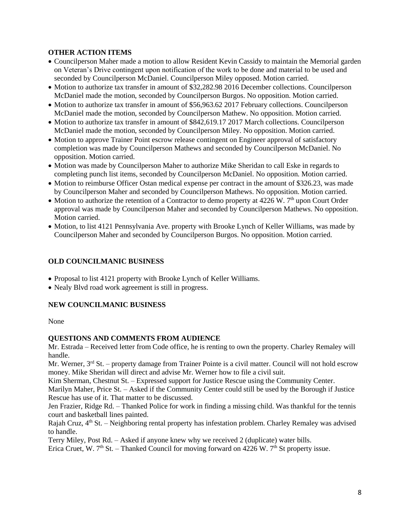## **OTHER ACTION ITEMS**

- Councilperson Maher made a motion to allow Resident Kevin Cassidy to maintain the Memorial garden on Veteran's Drive contingent upon notification of the work to be done and material to be used and seconded by Councilperson McDaniel. Councilperson Miley opposed. Motion carried.
- Motion to authorize tax transfer in amount of \$32,282.98 2016 December collections. Councilperson McDaniel made the motion, seconded by Councilperson Burgos. No opposition. Motion carried.
- Motion to authorize tax transfer in amount of \$56,963.62 2017 February collections. Councilperson McDaniel made the motion, seconded by Councilperson Mathew. No opposition. Motion carried.
- Motion to authorize tax transfer in amount of \$842,619.17 2017 March collections. Councilperson McDaniel made the motion, seconded by Councilperson Miley. No opposition. Motion carried.
- Motion to approve Trainer Point escrow release contingent on Engineer approval of satisfactory completion was made by Councilperson Mathews and seconded by Councilperson McDaniel. No opposition. Motion carried.
- Motion was made by Councilperson Maher to authorize Mike Sheridan to call Eske in regards to completing punch list items, seconded by Councilperson McDaniel. No opposition. Motion carried.
- Motion to reimburse Officer Ostan medical expense per contract in the amount of \$326.23, was made by Councilperson Maher and seconded by Councilperson Mathews. No opposition. Motion carried.
- Motion to authorize the retention of a Contractor to demo property at  $4226$  W.  $7<sup>th</sup>$  upon Court Order approval was made by Councilperson Maher and seconded by Councilperson Mathews. No opposition. Motion carried.
- Motion, to list 4121 Pennsylvania Ave. property with Brooke Lynch of Keller Williams, was made by Councilperson Maher and seconded by Councilperson Burgos. No opposition. Motion carried.

## **OLD COUNCILMANIC BUSINESS**

- Proposal to list 4121 property with Brooke Lynch of Keller Williams.
- Nealy Blvd road work agreement is still in progress.

### **NEW COUNCILMANIC BUSINESS**

### None

### **QUESTIONS AND COMMENTS FROM AUDIENCE**

Mr. Estrada – Received letter from Code office, he is renting to own the property. Charley Remaley will handle.

Mr. Werner, 3<sup>rd</sup> St. – property damage from Trainer Pointe is a civil matter. Council will not hold escrow money. Mike Sheridan will direct and advise Mr. Werner how to file a civil suit.

Kim Sherman, Chestnut St. – Expressed support for Justice Rescue using the Community Center.

Marilyn Maher, Price St. – Asked if the Community Center could still be used by the Borough if Justice Rescue has use of it. That matter to be discussed.

Jen Frazier, Ridge Rd. – Thanked Police for work in finding a missing child. Was thankful for the tennis court and basketball lines painted.

Rajah Cruz, 4<sup>th</sup> St. – Neighboring rental property has infestation problem. Charley Remaley was advised to handle.

Terry Miley, Post Rd. – Asked if anyone knew why we received 2 (duplicate) water bills.

Erica Cruet, W.  $7<sup>th</sup>$  St. – Thanked Council for moving forward on 4226 W.  $7<sup>th</sup>$  St property issue.